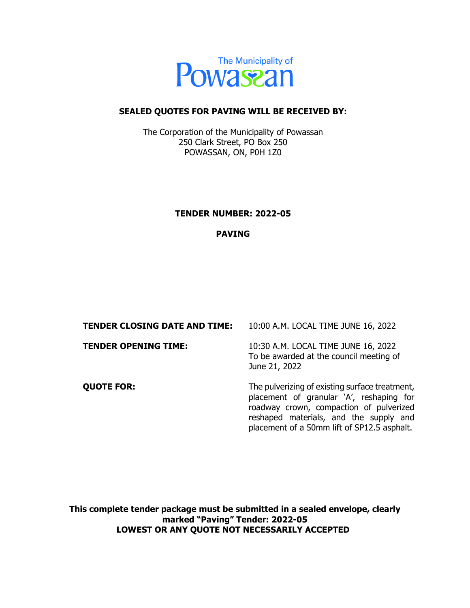

#### **SEALED QUOTES FOR PAVING WILL BE RECEIVED BY:**

The Corporation of the Municipality of Powassan 250 Clark Street, PO Box 250 POWASSAN, ON, P0H 1Z0

#### **TENDER NUMBER: 2022-05**

#### **PAVING**

| <b>TENDER CLOSING DATE AND TIME:</b> | 10:00 A.M. LOCAL TIME JUNE 16, 2022                                                                                                                                                                                            |
|--------------------------------------|--------------------------------------------------------------------------------------------------------------------------------------------------------------------------------------------------------------------------------|
| <b>TENDER OPENING TIME:</b>          | 10:30 A.M. LOCAL TIME JUNE 16, 2022<br>To be awarded at the council meeting of<br>June 21, 2022                                                                                                                                |
| <b>QUOTE FOR:</b>                    | The pulverizing of existing surface treatment,<br>placement of granular 'A', reshaping for<br>roadway crown, compaction of pulverized<br>reshaped materials, and the supply and<br>placement of a 50mm lift of SP12.5 asphalt. |

**This complete tender package must be submitted in a sealed envelope, clearly marked "Paving" Tender: 2022-05 LOWEST OR ANY QUOTE NOT NECESSARILY ACCEPTED**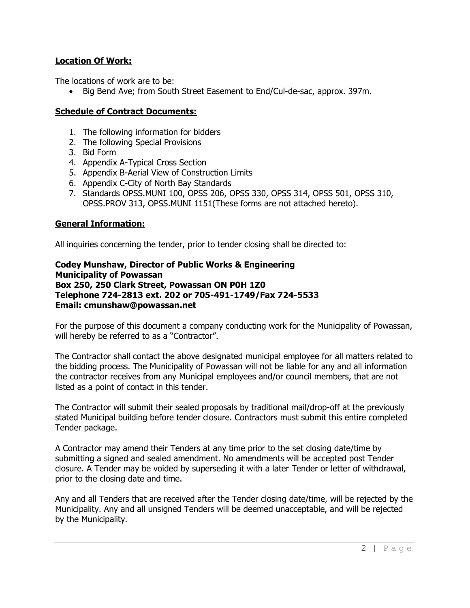### **Location Of Work:**

The locations of work are to be:

• Big Bend Ave; from South Street Easement to End/Cul-de-sac, approx. 397m.

### **Schedule of Contract Documents:**

- 1. The following information for bidders
- 2. The following Special Provisions
- 3. Bid Form
- 4. Appendix A-Typical Cross Section
- 5. Appendix B-Aerial View of Construction Limits
- 6. Appendix C-City of North Bay Standards
- 7. Standards OPSS.MUNI 100, OPSS 206, OPSS 330, OPSS 314, OPSS 501, OPSS 310, OPSS.PROV 313, OPSS.MUNI 1151(These forms are not attached hereto).

# **General Information:**

All inquiries concerning the tender, prior to tender closing shall be directed to:

**Codey Munshaw, Director of Public Works & Engineering Municipality of Powassan Box 250, 250 Clark Street, Powassan ON P0H 1Z0 Telephone 724-2813 ext. 202 or 705-491-1749/Fax 724-5533 Email: cmunshaw@powassan.net**

For the purpose of this document a company conducting work for the Municipality of Powassan, will hereby be referred to as a "Contractor".

The Contractor shall contact the above designated municipal employee for all matters related to the bidding process. The Municipality of Powassan will not be liable for any and all information the contractor receives from any Municipal employees and/or council members, that are not listed as a point of contact in this tender.

The Contractor will submit their sealed proposals by traditional mail/drop-off at the previously stated Municipal building before tender closure. Contractors must submit this entire completed Tender package.

A Contractor may amend their Tenders at any time prior to the set closing date/time by submitting a signed and sealed amendment. No amendments will be accepted post Tender closure. A Tender may be voided by superseding it with a later Tender or letter of withdrawal, prior to the closing date and time.

Any and all Tenders that are received after the Tender closing date/time, will be rejected by the Municipality. Any and all unsigned Tenders will be deemed unacceptable, and will be rejected by the Municipality.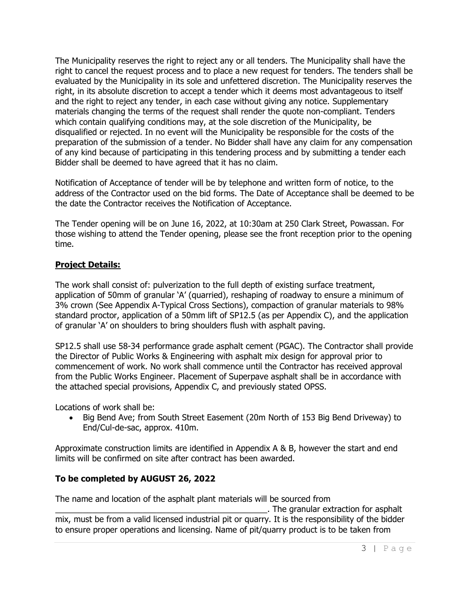The Municipality reserves the right to reject any or all tenders. The Municipality shall have the right to cancel the request process and to place a new request for tenders. The tenders shall be evaluated by the Municipality in its sole and unfettered discretion. The Municipality reserves the right, in its absolute discretion to accept a tender which it deems most advantageous to itself and the right to reject any tender, in each case without giving any notice. Supplementary materials changing the terms of the request shall render the quote non-compliant. Tenders which contain qualifying conditions may, at the sole discretion of the Municipality, be disqualified or rejected. In no event will the Municipality be responsible for the costs of the preparation of the submission of a tender. No Bidder shall have any claim for any compensation of any kind because of participating in this tendering process and by submitting a tender each Bidder shall be deemed to have agreed that it has no claim.

Notification of Acceptance of tender will be by telephone and written form of notice, to the address of the Contractor used on the bid forms. The Date of Acceptance shall be deemed to be the date the Contractor receives the Notification of Acceptance.

The Tender opening will be on June 16, 2022, at 10:30am at 250 Clark Street, Powassan. For those wishing to attend the Tender opening, please see the front reception prior to the opening time.

# **Project Details:**

The work shall consist of: pulverization to the full depth of existing surface treatment, application of 50mm of granular 'A' (quarried), reshaping of roadway to ensure a minimum of 3% crown (See Appendix A-Typical Cross Sections), compaction of granular materials to 98% standard proctor, application of a 50mm lift of SP12.5 (as per Appendix C), and the application of granular 'A' on shoulders to bring shoulders flush with asphalt paving.

SP12.5 shall use 58-34 performance grade asphalt cement (PGAC). The Contractor shall provide the Director of Public Works & Engineering with asphalt mix design for approval prior to commencement of work. No work shall commence until the Contractor has received approval from the Public Works Engineer. Placement of Superpave asphalt shall be in accordance with the attached special provisions, Appendix C, and previously stated OPSS.

Locations of work shall be:

• Big Bend Ave; from South Street Easement (20m North of 153 Big Bend Driveway) to End/Cul-de-sac, approx. 410m.

Approximate construction limits are identified in Appendix A & B, however the start and end limits will be confirmed on site after contract has been awarded.

# **To be completed by AUGUST 26, 2022**

The name and location of the asphalt plant materials will be sourced from

\_\_\_\_\_\_\_\_\_\_\_\_\_\_\_\_\_\_\_\_\_\_\_\_\_\_\_\_\_\_\_\_\_\_\_\_\_\_\_\_\_\_\_\_\_\_. The granular extraction for asphalt mix, must be from a valid licensed industrial pit or quarry. It is the responsibility of the bidder to ensure proper operations and licensing. Name of pit/quarry product is to be taken from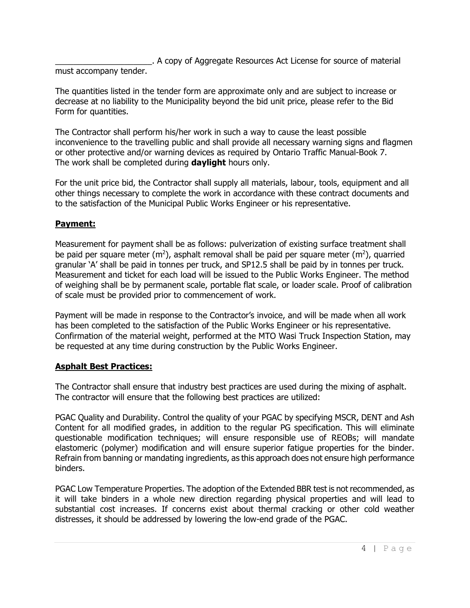\_\_\_\_\_\_\_\_\_\_\_\_\_\_\_\_\_\_\_\_\_. A copy of Aggregate Resources Act License for source of material must accompany tender.

The quantities listed in the tender form are approximate only and are subject to increase or decrease at no liability to the Municipality beyond the bid unit price, please refer to the Bid Form for quantities.

The Contractor shall perform his/her work in such a way to cause the least possible inconvenience to the travelling public and shall provide all necessary warning signs and flagmen or other protective and/or warning devices as required by Ontario Traffic Manual-Book 7. The work shall be completed during **daylight** hours only.

For the unit price bid, the Contractor shall supply all materials, labour, tools, equipment and all other things necessary to complete the work in accordance with these contract documents and to the satisfaction of the Municipal Public Works Engineer or his representative.

# **Payment:**

Measurement for payment shall be as follows: pulverization of existing surface treatment shall be paid per square meter (m<sup>2</sup>), asphalt removal shall be paid per square meter (m<sup>2</sup>), quarried granular 'A' shall be paid in tonnes per truck, and SP12.5 shall be paid by in tonnes per truck. Measurement and ticket for each load will be issued to the Public Works Engineer. The method of weighing shall be by permanent scale, portable flat scale, or loader scale. Proof of calibration of scale must be provided prior to commencement of work.

Payment will be made in response to the Contractor's invoice, and will be made when all work has been completed to the satisfaction of the Public Works Engineer or his representative. Confirmation of the material weight, performed at the MTO Wasi Truck Inspection Station, may be requested at any time during construction by the Public Works Engineer.

# **Asphalt Best Practices:**

The Contractor shall ensure that industry best practices are used during the mixing of asphalt. The contractor will ensure that the following best practices are utilized:

PGAC Quality and Durability. Control the quality of your PGAC by specifying MSCR, DENT and Ash Content for all modified grades, in addition to the regular PG specification. This will eliminate questionable modification techniques; will ensure responsible use of REOBs; will mandate elastomeric (polymer) modification and will ensure superior fatigue properties for the binder. Refrain from banning or mandating ingredients, as this approach does not ensure high performance binders.

PGAC Low Temperature Properties. The adoption of the Extended BBR test is not recommended, as it will take binders in a whole new direction regarding physical properties and will lead to substantial cost increases. If concerns exist about thermal cracking or other cold weather distresses, it should be addressed by lowering the low-end grade of the PGAC.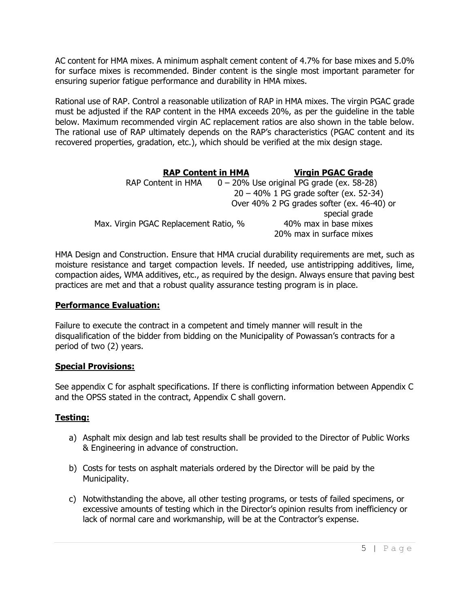AC content for HMA mixes. A minimum asphalt cement content of 4.7% for base mixes and 5.0% for surface mixes is recommended. Binder content is the single most important parameter for ensuring superior fatigue performance and durability in HMA mixes.

Rational use of RAP. Control a reasonable utilization of RAP in HMA mixes. The virgin PGAC grade must be adjusted if the RAP content in the HMA exceeds 20%, as per the guideline in the table below. Maximum recommended virgin AC replacement ratios are also shown in the table below. The rational use of RAP ultimately depends on the RAP's characteristics (PGAC content and its recovered properties, gradation, etc.), which should be verified at the mix design stage.

| <b>RAP Content in HMA</b>             | <b>Virgin PGAC Grade</b>                     |
|---------------------------------------|----------------------------------------------|
| <b>RAP Content in HMA</b>             | $0 - 20\%$ Use original PG grade (ex. 58-28) |
|                                       | $20 - 40\%$ 1 PG grade softer (ex. 52-34)    |
|                                       | Over 40% 2 PG grades softer (ex. 46-40) or   |
|                                       | special grade                                |
| Max. Virgin PGAC Replacement Ratio, % | 40% max in base mixes                        |
|                                       | 20% max in surface mixes                     |

HMA Design and Construction. Ensure that HMA crucial durability requirements are met, such as moisture resistance and target compaction levels. If needed, use antistripping additives, lime, compaction aides, WMA additives, etc., as required by the design. Always ensure that paving best practices are met and that a robust quality assurance testing program is in place.

# **Performance Evaluation:**

Failure to execute the contract in a competent and timely manner will result in the disqualification of the bidder from bidding on the Municipality of Powassan's contracts for a period of two (2) years.

# **Special Provisions:**

See appendix C for asphalt specifications. If there is conflicting information between Appendix C and the OPSS stated in the contract, Appendix C shall govern.

# **Testing:**

- a) Asphalt mix design and lab test results shall be provided to the Director of Public Works & Engineering in advance of construction.
- b) Costs for tests on asphalt materials ordered by the Director will be paid by the Municipality.
- c) Notwithstanding the above, all other testing programs, or tests of failed specimens, or excessive amounts of testing which in the Director's opinion results from inefficiency or lack of normal care and workmanship, will be at the Contractor's expense.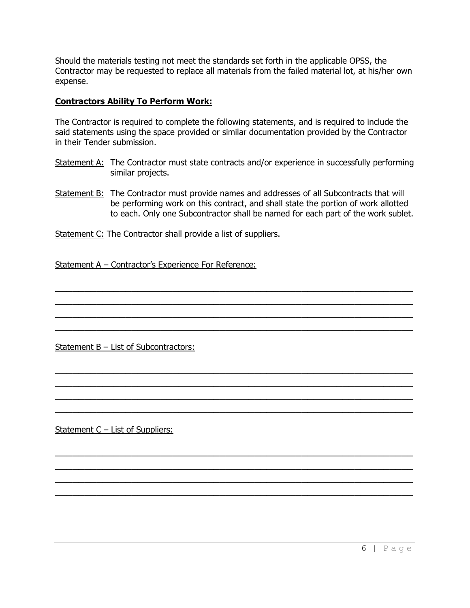Should the materials testing not meet the standards set forth in the applicable OPSS, the Contractor may be requested to replace all materials from the failed material lot, at his/her own expense.

#### **Contractors Ability To Perform Work:**

The Contractor is required to complete the following statements, and is required to include the said statements using the space provided or similar documentation provided by the Contractor in their Tender submission.

- Statement A: The Contractor must state contracts and/or experience in successfully performing similar projects.
- Statement B: The Contractor must provide names and addresses of all Subcontracts that will be performing work on this contract, and shall state the portion of work allotted to each. Only one Subcontractor shall be named for each part of the work sublet.

 $\mathcal{L}_\text{max}$  , and the contract of the contract of the contract of the contract of the contract of the contract of the contract of the contract of the contract of the contract of the contract of the contract of the contr  $\overline{\phantom{a}}$  , and the contract of the contract of the contract of the contract of the contract of the contract of the contract of the contract of the contract of the contract of the contract of the contract of the contrac  $\overline{\phantom{a}}$  , and the contract of the contract of the contract of the contract of the contract of the contract of the contract of the contract of the contract of the contract of the contract of the contract of the contrac  $\mathcal{L}_\text{max}$  , and the contract of the contract of the contract of the contract of the contract of the contract of the contract of the contract of the contract of the contract of the contract of the contract of the contr

 $\overline{\phantom{a}}$  , and the contract of the contract of the contract of the contract of the contract of the contract of the contract of the contract of the contract of the contract of the contract of the contract of the contrac  $\overline{\phantom{a}}$  , and the contract of the contract of the contract of the contract of the contract of the contract of the contract of the contract of the contract of the contract of the contract of the contract of the contrac  $\overline{\phantom{a}}$  , and the contract of the contract of the contract of the contract of the contract of the contract of the contract of the contract of the contract of the contract of the contract of the contract of the contrac  $\overline{\phantom{a}}$  , and the contract of the contract of the contract of the contract of the contract of the contract of the contract of the contract of the contract of the contract of the contract of the contract of the contrac

 $\overline{\phantom{a}}$  , and the contract of the contract of the contract of the contract of the contract of the contract of the contract of the contract of the contract of the contract of the contract of the contract of the contrac  $\overline{\phantom{a}}$  , and the contract of the contract of the contract of the contract of the contract of the contract of the contract of the contract of the contract of the contract of the contract of the contract of the contrac  $\mathcal{L} = \{ \mathcal{L} \mid \mathcal{L} \text{ and } \mathcal{L} \text{ and } \mathcal{L} \text{ and } \mathcal{L} \text{ and } \mathcal{L} \text{ and } \mathcal{L} \text{ and } \mathcal{L} \text{ and } \mathcal{L} \text{ and } \mathcal{L} \text{ and } \mathcal{L} \text{ and } \mathcal{L} \text{ and } \mathcal{L} \text{ and } \mathcal{L} \text{ and } \mathcal{L} \text{ and } \mathcal{L} \text{ and } \mathcal{L} \text{ and } \mathcal{L} \text{ and } \mathcal{L} \text{ and } \mathcal{L$  $\overline{\phantom{a}}$  , and the contract of the contract of the contract of the contract of the contract of the contract of the contract of the contract of the contract of the contract of the contract of the contract of the contrac

Statement C: The Contractor shall provide a list of suppliers.

Statement A – Contractor's Experience For Reference:

Statement B – List of Subcontractors:

Statement C – List of Suppliers: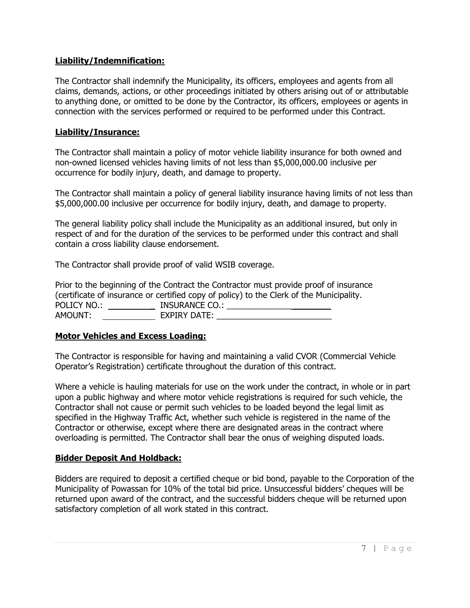### **Liability/Indemnification:**

The Contractor shall indemnify the Municipality, its officers, employees and agents from all claims, demands, actions, or other proceedings initiated by others arising out of or attributable to anything done, or omitted to be done by the Contractor, its officers, employees or agents in connection with the services performed or required to be performed under this Contract.

#### **Liability/Insurance:**

The Contractor shall maintain a policy of motor vehicle liability insurance for both owned and non-owned licensed vehicles having limits of not less than \$5,000,000.00 inclusive per occurrence for bodily injury, death, and damage to property.

The Contractor shall maintain a policy of general liability insurance having limits of not less than \$5,000,000.00 inclusive per occurrence for bodily injury, death, and damage to property.

The general liability policy shall include the Municipality as an additional insured, but only in respect of and for the duration of the services to be performed under this contract and shall contain a cross liability clause endorsement.

The Contractor shall provide proof of valid WSIB coverage.

Prior to the beginning of the Contract the Contractor must provide proof of insurance (certificate of insurance or certified copy of policy) to the Clerk of the Municipality. POLICY NO.: \_ INSURANCE CO.: \_\_\_\_\_\_\_\_\_\_\_\_\_\_ \_\_\_\_\_\_\_\_ AMOUNT: EXPIRY DATE:

#### **Motor Vehicles and Excess Loading:**

The Contractor is responsible for having and maintaining a valid CVOR (Commercial Vehicle Operator's Registration) certificate throughout the duration of this contract.

Where a vehicle is hauling materials for use on the work under the contract, in whole or in part upon a public highway and where motor vehicle registrations is required for such vehicle, the Contractor shall not cause or permit such vehicles to be loaded beyond the legal limit as specified in the Highway Traffic Act, whether such vehicle is registered in the name of the Contractor or otherwise, except where there are designated areas in the contract where overloading is permitted. The Contractor shall bear the onus of weighing disputed loads.

#### **Bidder Deposit And Holdback:**

Bidders are required to deposit a certified cheque or bid bond, payable to the Corporation of the Municipality of Powassan for 10% of the total bid price. Unsuccessful bidders' cheques will be returned upon award of the contract, and the successful bidders cheque will be returned upon satisfactory completion of all work stated in this contract.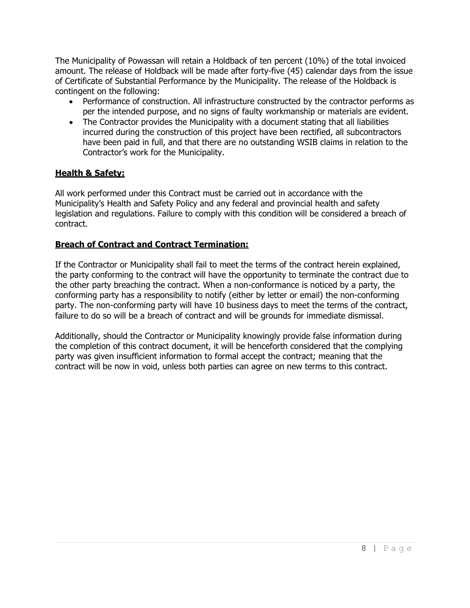The Municipality of Powassan will retain a Holdback of ten percent (10%) of the total invoiced amount. The release of Holdback will be made after forty-five (45) calendar days from the issue of Certificate of Substantial Performance by the Municipality. The release of the Holdback is contingent on the following:

- Performance of construction. All infrastructure constructed by the contractor performs as per the intended purpose, and no signs of faulty workmanship or materials are evident.
- The Contractor provides the Municipality with a document stating that all liabilities incurred during the construction of this project have been rectified, all subcontractors have been paid in full, and that there are no outstanding WSIB claims in relation to the Contractor's work for the Municipality.

# **Health & Safety:**

All work performed under this Contract must be carried out in accordance with the Municipality's Health and Safety Policy and any federal and provincial health and safety legislation and regulations. Failure to comply with this condition will be considered a breach of contract.

# **Breach of Contract and Contract Termination:**

If the Contractor or Municipality shall fail to meet the terms of the contract herein explained, the party conforming to the contract will have the opportunity to terminate the contract due to the other party breaching the contract. When a non-conformance is noticed by a party, the conforming party has a responsibility to notify (either by letter or email) the non-conforming party. The non-conforming party will have 10 business days to meet the terms of the contract, failure to do so will be a breach of contract and will be grounds for immediate dismissal.

Additionally, should the Contractor or Municipality knowingly provide false information during the completion of this contract document, it will be henceforth considered that the complying party was given insufficient information to formal accept the contract; meaning that the contract will be now in void, unless both parties can agree on new terms to this contract.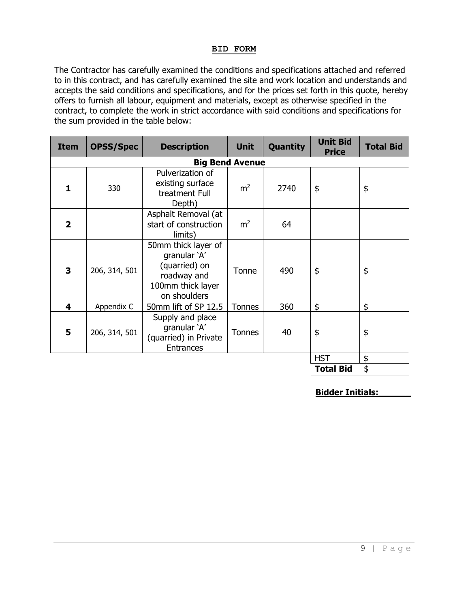#### **BID FORM**

The Contractor has carefully examined the conditions and specifications attached and referred to in this contract, and has carefully examined the site and work location and understands and accepts the said conditions and specifications, and for the prices set forth in this quote, hereby offers to furnish all labour, equipment and materials, except as otherwise specified in the contract, to complete the work in strict accordance with said conditions and specifications for the sum provided in the table below:

| <b>Item</b>  | <b>OPSS/Spec</b> | <b>Description</b>                                                                                       | <b>Unit</b>    | Quantity | <b>Unit Bid</b><br><b>Price</b> | <b>Total Bid</b> |
|--------------|------------------|----------------------------------------------------------------------------------------------------------|----------------|----------|---------------------------------|------------------|
|              |                  | <b>Big Bend Avenue</b>                                                                                   |                |          |                                 |                  |
| 1.           | 330              | Pulverization of<br>existing surface<br>treatment Full<br>Depth)                                         |                | 2740     | \$                              | \$               |
| $\mathbf{2}$ |                  | Asphalt Removal (at<br>start of construction<br>limits)                                                  | m <sup>2</sup> | 64       |                                 |                  |
| 3            | 206, 314, 501    | 50mm thick layer of<br>granular 'A'<br>(quarried) on<br>roadway and<br>100mm thick layer<br>on shoulders | Tonne          | 490      | \$                              | \$               |
| 4            | Appendix C       | 50mm lift of SP 12.5                                                                                     | <b>Tonnes</b>  | 360      | \$                              | \$               |
| 5            | 206, 314, 501    | Supply and place<br>granular 'A'<br>(quarried) in Private<br><b>Entrances</b>                            | <b>Tonnes</b>  | 40       | \$                              | \$               |
|              |                  |                                                                                                          |                |          | <b>HST</b>                      | \$               |
|              |                  |                                                                                                          |                |          | <b>Total Bid</b>                | \$               |

**Bidder Initials:\_\_\_\_\_\_**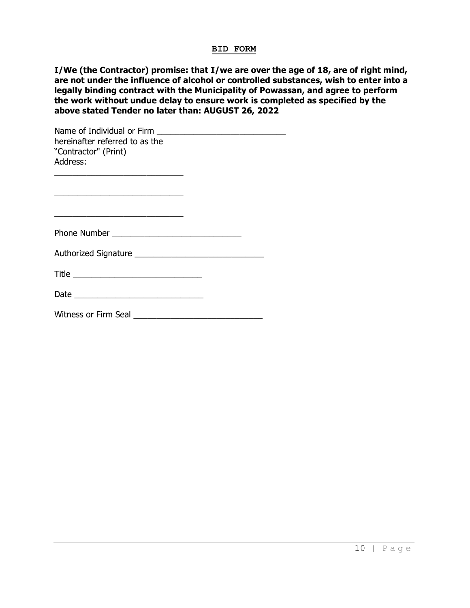#### **BID FORM**

**I/We (the Contractor) promise: that I/we are over the age of 18, are of right mind, are not under the influence of alcohol or controlled substances, wish to enter into a legally binding contract with the Municipality of Powassan, and agree to perform the work without undue delay to ensure work is completed as specified by the above stated Tender no later than: AUGUST 26, 2022**

| hereinafter referred to as the<br>"Contractor" (Print)<br>Address:                                                                                                                     |  |
|----------------------------------------------------------------------------------------------------------------------------------------------------------------------------------------|--|
| the control of the control of the control of the control of the control of the control of<br>the control of the control of the control of the control of the control of the control of |  |
|                                                                                                                                                                                        |  |
|                                                                                                                                                                                        |  |
|                                                                                                                                                                                        |  |
|                                                                                                                                                                                        |  |
| <b>Witness or Firm Seal</b>                                                                                                                                                            |  |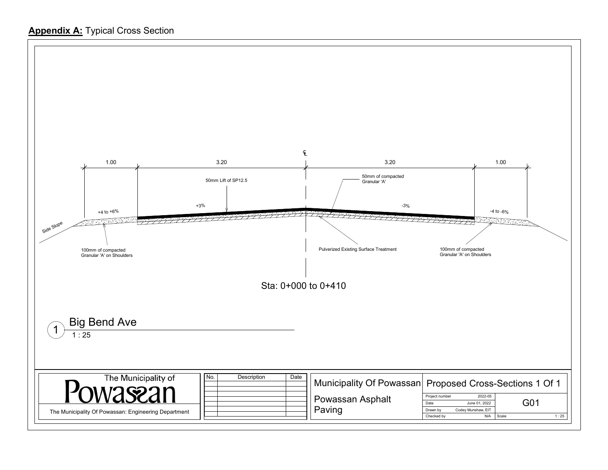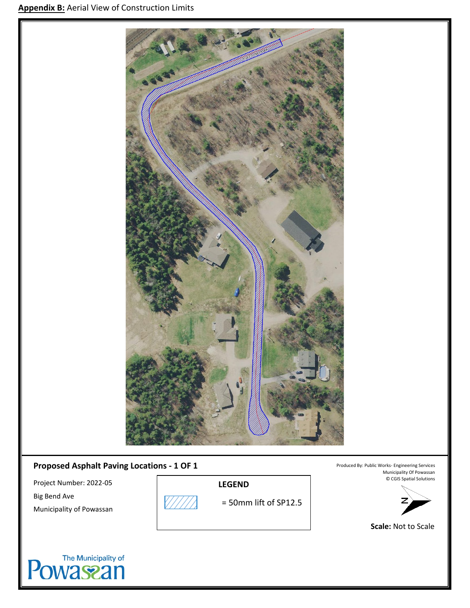

# **Proposed Asphalt Paving Locations - 1 OF 1**

Project Number: 2022-05 Big Bend Ave Municipality of Powassan



**LEGEND**

= 50mm lift of SP12.5

Produced By: Public Works- Engineering Services Municipality Of Powassan © CGIS Spatial Solutions



**Scale:** Not to Scale

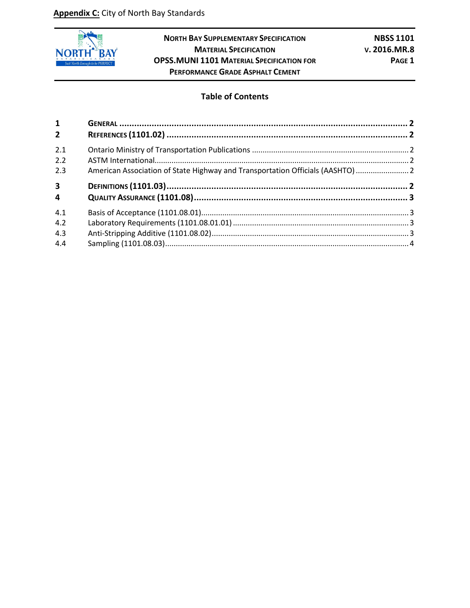

**NORTH BAY SUPPLEMENTARY SPECIFICATION NBSS 1101 MATERIAL SPECIFICATION V. 2016.MR.8 OPSS.MUNI 1101 MATERIAL SPECIFICATION FOR PAGE 1 PERFORMANCE GRADE ASPHALT CEMENT**

#### **Table of Contents**

| $\mathbf{1}$            |                                                                                |  |
|-------------------------|--------------------------------------------------------------------------------|--|
| 2 <sup>1</sup>          |                                                                                |  |
| 2.1                     |                                                                                |  |
| 2.2                     |                                                                                |  |
| 2.3                     | American Association of State Highway and Transportation Officials (AASHTO)  2 |  |
| $\overline{\mathbf{3}}$ |                                                                                |  |
| 4                       |                                                                                |  |
| 4.1                     |                                                                                |  |
| 4.2                     |                                                                                |  |
| 4.3                     |                                                                                |  |
| 4.4                     |                                                                                |  |
|                         |                                                                                |  |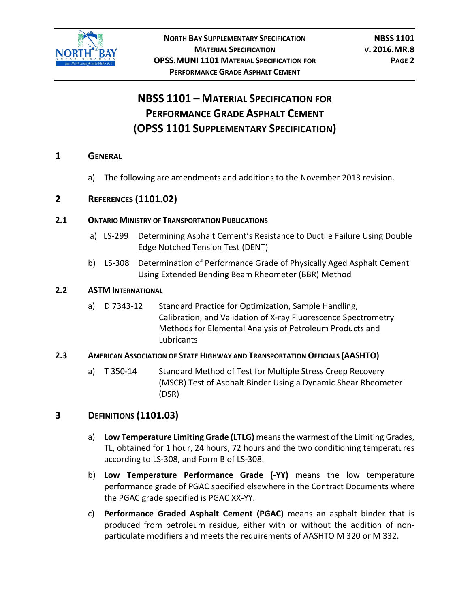

# **NBSS 1101 – MATERIAL SPECIFICATION FOR PERFORMANCE GRADE ASPHALT CEMENT (OPSS 1101 SUPPLEMENTARY SPECIFICATION)**

#### <span id="page-13-0"></span>**1 GENERAL**

a) The following are amendments and additions to the November 2013 revision.

# <span id="page-13-1"></span>**2 REFERENCES (1101.02)**

#### <span id="page-13-2"></span>**2.1 ONTARIO MINISTRY OF TRANSPORTATION PUBLICATIONS**

- a) LS-299 Determining Asphalt Cement's Resistance to Ductile Failure Using Double Edge Notched Tension Test (DENT)
- b) LS-308 Determination of Performance Grade of Physically Aged Asphalt Cement Using Extended Bending Beam Rheometer (BBR) Method

#### <span id="page-13-3"></span>**2.2 ASTM INTERNATIONAL**

a) D 7343-12 Standard Practice for Optimization, Sample Handling, Calibration, and Validation of X-ray Fluorescence Spectrometry Methods for Elemental Analysis of Petroleum Products and **Lubricants** 

#### <span id="page-13-4"></span>**2.3 AMERICAN ASSOCIATION OF STATE HIGHWAY AND TRANSPORTATION OFFICIALS (AASHTO)**

a) T 350-14 Standard Method of Test for Multiple Stress Creep Recovery (MSCR) Test of Asphalt Binder Using a Dynamic Shear Rheometer (DSR)

# <span id="page-13-5"></span>**3 DEFINITIONS (1101.03)**

- a) **Low Temperature Limiting Grade (LTLG)** means the warmest of the Limiting Grades, TL, obtained for 1 hour, 24 hours, 72 hours and the two conditioning temperatures according to LS-308, and Form B of LS-308.
- b) **Low Temperature Performance Grade (-YY)** means the low temperature performance grade of PGAC specified elsewhere in the Contract Documents where the PGAC grade specified is PGAC XX-YY.
- c) **Performance Graded Asphalt Cement (PGAC)** means an asphalt binder that is produced from petroleum residue, either with or without the addition of nonparticulate modifiers and meets the requirements of AASHTO M 320 or M 332.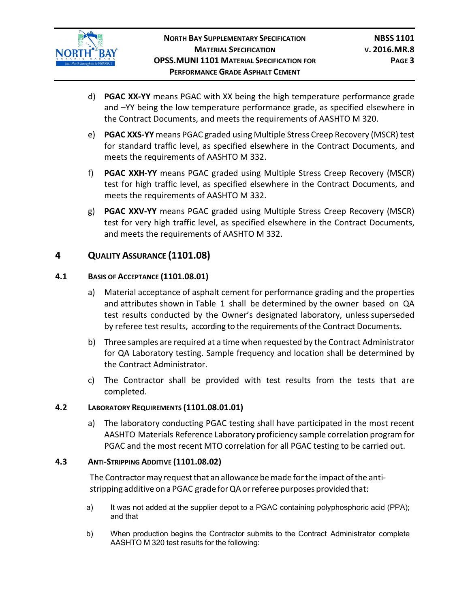

- d) **PGAC XX-YY** means PGAC with XX being the high temperature performance grade and –YY being the low temperature performance grade, as specified elsewhere in the Contract Documents, and meets the requirements of AASHTO M 320.
- e) **PGAC XXS-YY** means PGAC graded using Multiple Stress Creep Recovery (MSCR) test for standard traffic level, as specified elsewhere in the Contract Documents, and meets the requirements of AASHTO M 332.
- f) **PGAC XXH-YY** means PGAC graded using Multiple Stress Creep Recovery (MSCR) test for high traffic level, as specified elsewhere in the Contract Documents, and meets the requirements of AASHTO M 332.
- g) **PGAC XXV-YY** means PGAC graded using Multiple Stress Creep Recovery (MSCR) test for very high traffic level, as specified elsewhere in the Contract Documents, and meets the requirements of AASHTO M 332.

# <span id="page-14-0"></span>**4 QUALITY ASSURANCE (1101.08)**

### <span id="page-14-1"></span>**4.1 BASIS OF ACCEPTANCE (1101.08.01)**

- a) Material acceptance of asphalt cement for performance grading and the properties and attributes shown in Table 1 shall be determined by the owner based on QA test results conducted by the Owner's designated laboratory, unless superseded by referee test results, according to the requirements of the Contract Documents.
- b) Three samples are required at a time when requested by the Contract Administrator for QA Laboratory testing. Sample frequency and location shall be determined by the Contract Administrator.
- c) The Contractor shall be provided with test results from the tests that are completed.

#### <span id="page-14-2"></span>**4.2 LABORATORY REQUIREMENTS (1101.08.01.01)**

a) The laboratory conducting PGAC testing shall have participated in the most recent AASHTO Materials Reference Laboratory proficiency sample correlation program for PGAC and the most recent MTO correlation for all PGAC testing to be carried out.

#### <span id="page-14-3"></span>**4.3 ANTI-STRIPPING ADDITIVE (1101.08.02)**

The Contractor may request that an allowance be made for the impact of the antistripping additive on a PGAC grade for QA or referee purposes provided that:

- a) It was not added at the supplier depot to a PGAC containing polyphosphoric acid (PPA); and that
- b) When production begins the Contractor submits to the Contract Administrator complete AASHTO M 320 test results for the following: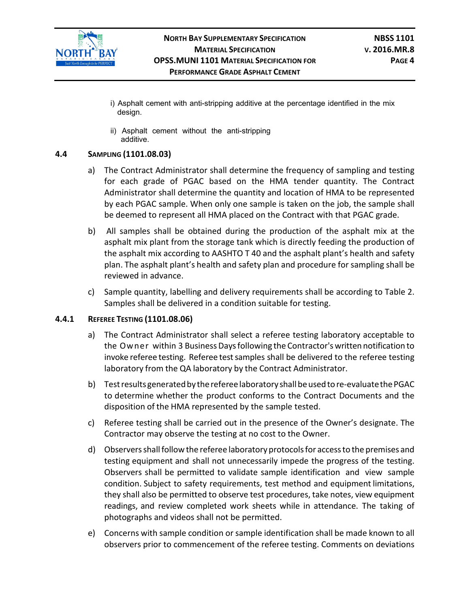

- i) Asphalt cement with anti-stripping additive at the percentage identified in the mix design.
- ii) Asphalt cement without the anti-stripping additive.

#### <span id="page-15-0"></span>**4.4 SAMPLING (1101.08.03)**

- a) The Contract Administrator shall determine the frequency of sampling and testing for each grade of PGAC based on the HMA tender quantity. The Contract Administrator shall determine the quantity and location of HMA to be represented by each PGAC sample. When only one sample is taken on the job, the sample shall be deemed to represent all HMA placed on the Contract with that PGAC grade.
- b) All samples shall be obtained during the production of the asphalt mix at the asphalt mix plant from the storage tank which is directly feeding the production of the asphalt mix according to AASHTO T 40 and the asphalt plant's health and safety plan. The asphalt plant's health and safety plan and procedure for sampling shall be reviewed in advance.
- c) Sample quantity, labelling and delivery requirements shall be according to Table 2. Samples shall be delivered in a condition suitable for testing.

#### **4.4.1 REFEREE TESTING (1101.08.06)**

- a) The Contract Administrator shall select a referee testing laboratory acceptable to the Owner within 3 Business Days following the Contractor's written notification to invoke referee testing. Referee test samples shall be delivered to the referee testing laboratory from the QA laboratory by the Contract Administrator.
- b) Testresults generatedby therefereelaboratory shallbeusedtore-evaluatethePGAC to determine whether the product conforms to the Contract Documents and the disposition of the HMA represented by the sample tested.
- c) Referee testing shall be carried out in the presence of the Owner's designate. The Contractor may observe the testing at no cost to the Owner.
- d) Observersshallfollow the referee laboratory protocolsfor accessto the premises and testing equipment and shall not unnecessarily impede the progress of the testing. Observers shall be permitted to validate sample identification and view sample condition. Subject to safety requirements, test method and equipment limitations, they shall also be permitted to observe test procedures, take notes, view equipment readings, and review completed work sheets while in attendance. The taking of photographs and videos shall not be permitted.
- e) Concerns with sample condition or sample identification shall be made known to all observers prior to commencement of the referee testing. Comments on deviations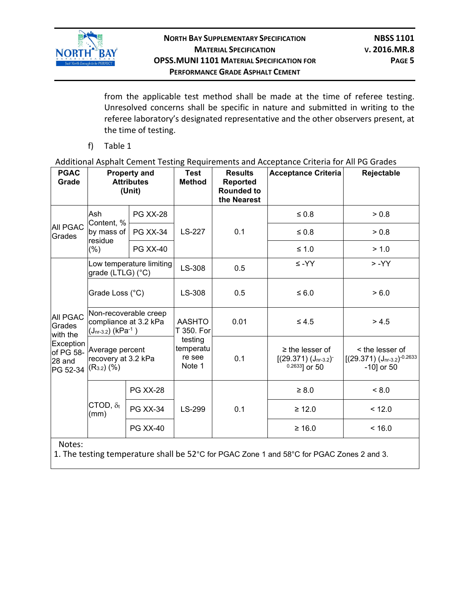

from the applicable test method shall be made at the time of referee testing. Unresolved concerns shall be specific in nature and submitted in writing to the referee laboratory's designated representative and the other observers present, at the time of testing.

f) Table 1

Additional Asphalt Cement Testing Requirements and Acceptance Criteria for All PG Grades

| <b>PGAC</b><br>Grade                                                                  | <b>Property and</b><br><b>Attributes</b><br>(Unit)                               |                          | <b>Test</b><br><b>Method</b>             | <b>Results</b><br><b>Reported</b><br><b>Rounded to</b><br>the Nearest | <b>Acceptance Criteria</b>                                         | Rejectable                                                     |  |
|---------------------------------------------------------------------------------------|----------------------------------------------------------------------------------|--------------------------|------------------------------------------|-----------------------------------------------------------------------|--------------------------------------------------------------------|----------------------------------------------------------------|--|
|                                                                                       | Ash<br>Content, %                                                                | <b>PG XX-28</b>          |                                          | 0.1                                                                   | $\leq 0.8$                                                         | > 0.8                                                          |  |
| <b>All PGAC</b><br>Grades                                                             | by mass of<br>residue                                                            | <b>PG XX-34</b>          | LS-227                                   |                                                                       | $\leq 0.8$                                                         | > 0.8                                                          |  |
|                                                                                       | $(\%)$                                                                           | <b>PG XX-40</b>          |                                          |                                                                       | $≤ 1.0$                                                            | > 1.0                                                          |  |
| <b>AII PGAC</b><br>Grades<br>with the<br>Exception<br>of PG 58-<br>28 and<br>PG 52-34 | grade (LTLG) (°C)                                                                | Low temperature limiting | LS-308                                   | 0.5                                                                   | $\leq$ -YY                                                         | $> -YY$                                                        |  |
|                                                                                       | Grade Loss (°C)                                                                  |                          | LS-308                                   | 0.5                                                                   | ≤ 6.0                                                              | > 6.0                                                          |  |
|                                                                                       | Non-recoverable creep<br>compliance at 3.2 kPa<br>(Jnr-3.2) (kPa <sup>-1</sup> ) |                          | <b>AASHTO</b><br>T 350. For              | 0.01                                                                  | $\leq 4.5$                                                         | > 4.5                                                          |  |
|                                                                                       | Average percent<br>recovery at 3.2 kPa<br>$(R3.2)$ $(\%)$                        |                          | testing<br>temperatu<br>re see<br>Note 1 | 0.1                                                                   | $\geq$ the lesser of<br>$[(29.371) (Jnr-3.2)]$<br>$0.2633$ ] or 50 | < the lesser of<br>$[(29.371) (Jnr-3.2)-0.2633]$<br>-10] or 50 |  |
|                                                                                       |                                                                                  | <b>PG XX-28</b>          |                                          |                                                                       | $\geq 8.0$                                                         | < 8.0                                                          |  |
|                                                                                       | CTOD, $\delta_{\rm t}$<br>(mm)                                                   | <b>PG XX-34</b>          | LS-299                                   | 0.1                                                                   | $\geq 12.0$                                                        | < 12.0                                                         |  |
|                                                                                       |                                                                                  | <b>PG XX-40</b>          |                                          |                                                                       | ≥ 16.0                                                             | ~16.0                                                          |  |
| Notes:                                                                                |                                                                                  |                          |                                          |                                                                       |                                                                    |                                                                |  |

1. The testing temperature shall be 52°C for PGAC Zone 1 and 58°C for PGAC Zones 2 and 3.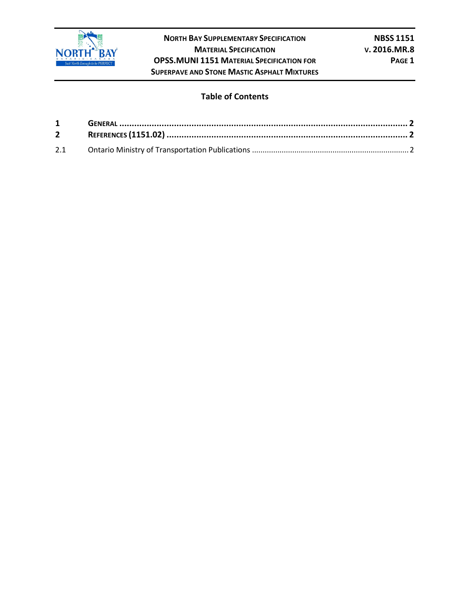

**NORTH BAY SUPPLEMENTARY SPECIFICATION NBSS 1151 MATERIAL SPECIFICATION V. 2016.MR.8 OPSS.MUNI 1151 MATERIAL SPECIFICATION FOR PAGE 1 SUPERPAVE AND STONE MASTIC ASPHALT MIXTURES**

#### **Table of Contents**

| $1 \quad \blacksquare$ |  |
|------------------------|--|
| $2^{\sim}$             |  |
|                        |  |
| 2.1                    |  |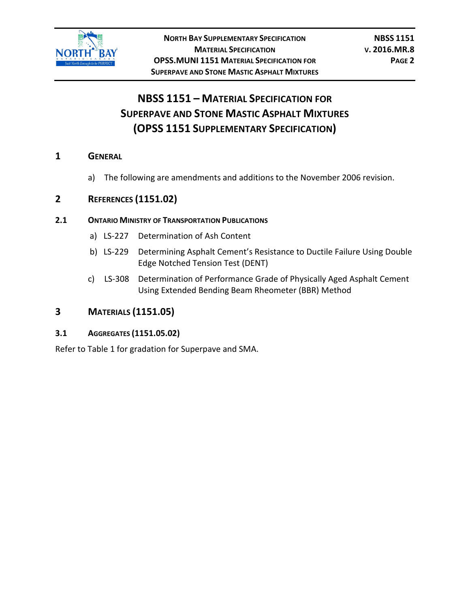

# **NBSS 1151 – MATERIAL SPECIFICATION FOR SUPERPAVE AND STONE MASTIC ASPHALT MIXTURES (OPSS 1151 SUPPLEMENTARY SPECIFICATION)**

### **1 GENERAL**

a) The following are amendments and additions to the November 2006 revision.

# **2 REFERENCES (1151.02)**

#### **2.1 ONTARIO MINISTRY OF TRANSPORTATION PUBLICATIONS**

- a) LS-227 Determination of Ash Content
- b) LS-229 Determining Asphalt Cement's Resistance to Ductile Failure Using Double Edge Notched Tension Test (DENT)
- c) LS-308 Determination of Performance Grade of Physically Aged Asphalt Cement Using Extended Bending Beam Rheometer (BBR) Method

# **3 MATERIALS (1151.05)**

# **3.1 AGGREGATES (1151.05.02)**

Refer to Table 1 for gradation for Superpave and SMA.